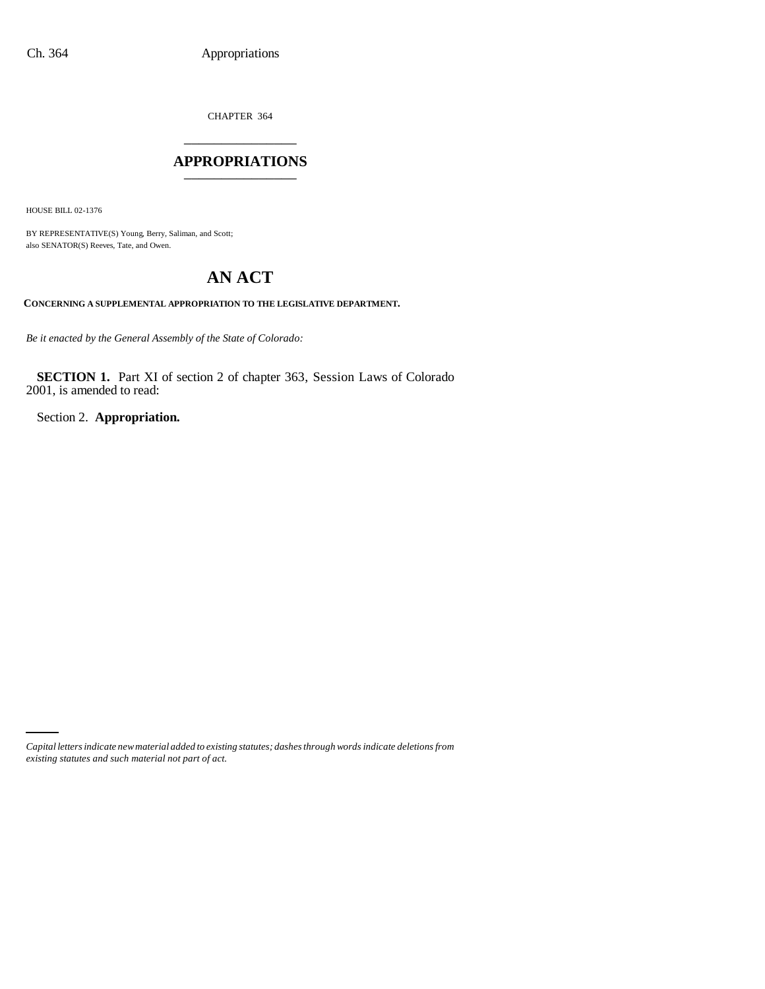CHAPTER 364 \_\_\_\_\_\_\_\_\_\_\_\_\_\_\_

#### **APPROPRIATIONS** \_\_\_\_\_\_\_\_\_\_\_\_\_\_\_

HOUSE BILL 02-1376

BY REPRESENTATIVE(S) Young, Berry, Saliman, and Scott; also SENATOR(S) Reeves, Tate, and Owen.

# **AN ACT**

**CONCERNING A SUPPLEMENTAL APPROPRIATION TO THE LEGISLATIVE DEPARTMENT.**

*Be it enacted by the General Assembly of the State of Colorado:*

**SECTION 1.** Part XI of section 2 of chapter 363, Session Laws of Colorado 2001, is amended to read:

Section 2. **Appropriation.**

*Capital letters indicate new material added to existing statutes; dashes through words indicate deletions from existing statutes and such material not part of act.*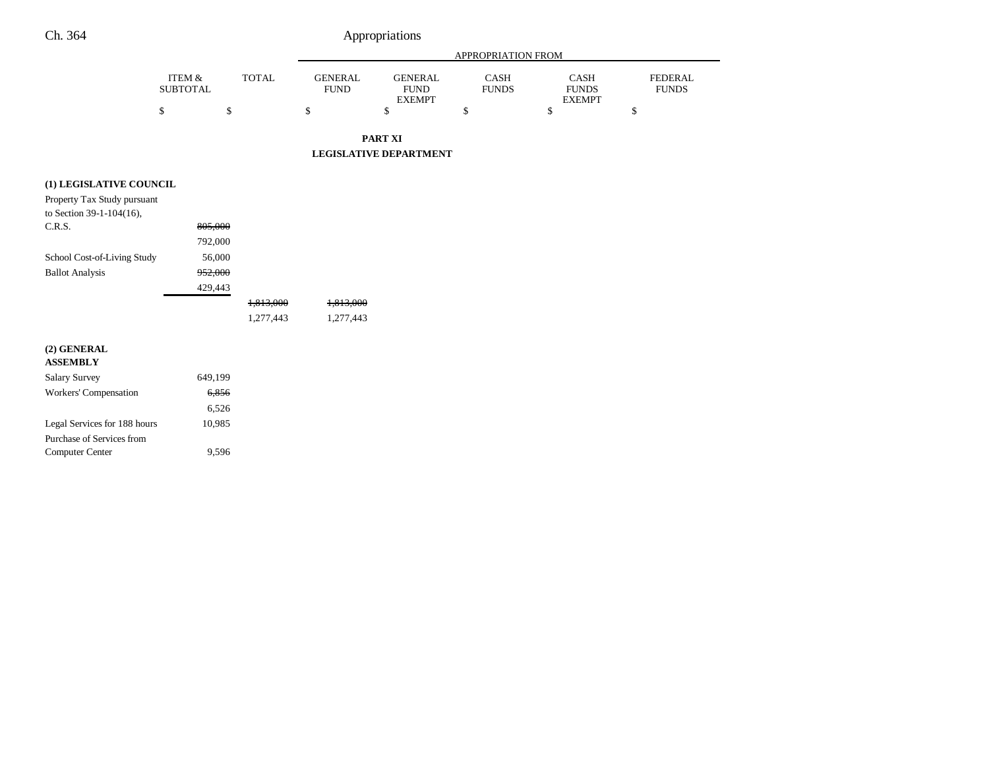## Ch. 364 Appropriations

FEDERAL FUNDS

|                                                         |                                      |              | APPROPRIATION FROM            |                                                |                             |                                              |    |  |
|---------------------------------------------------------|--------------------------------------|--------------|-------------------------------|------------------------------------------------|-----------------------------|----------------------------------------------|----|--|
|                                                         | <b>ITEM &amp;</b><br><b>SUBTOTAL</b> | <b>TOTAL</b> | <b>GENERAL</b><br><b>FUND</b> | <b>GENERAL</b><br><b>FUND</b><br><b>EXEMPT</b> | <b>CASH</b><br><b>FUNDS</b> | <b>CASH</b><br><b>FUNDS</b><br><b>EXEMPT</b> |    |  |
|                                                         | \$<br>\$                             |              | \$                            | \$                                             | \$                          | \$                                           | \$ |  |
|                                                         |                                      |              |                               | PART XI                                        |                             |                                              |    |  |
|                                                         |                                      |              |                               | <b>LEGISLATIVE DEPARTMENT</b>                  |                             |                                              |    |  |
| (1) LEGISLATIVE COUNCIL                                 |                                      |              |                               |                                                |                             |                                              |    |  |
| Property Tax Study pursuant<br>to Section 39-1-104(16), |                                      |              |                               |                                                |                             |                                              |    |  |
| C.R.S.                                                  | 805,000                              |              |                               |                                                |                             |                                              |    |  |
|                                                         | 792,000                              |              |                               |                                                |                             |                                              |    |  |
| School Cost-of-Living Study                             | 56,000                               |              |                               |                                                |                             |                                              |    |  |
| <b>Ballot Analysis</b>                                  | 952,000                              |              |                               |                                                |                             |                                              |    |  |
|                                                         | 429,443                              |              |                               |                                                |                             |                                              |    |  |
|                                                         |                                      | 1,813,000    | 1,813,000                     |                                                |                             |                                              |    |  |
|                                                         |                                      | 1,277,443    | 1,277,443                     |                                                |                             |                                              |    |  |
| (2) GENERAL<br><b>ASSEMBLY</b>                          |                                      |              |                               |                                                |                             |                                              |    |  |
| <b>Salary Survey</b>                                    | 649,199                              |              |                               |                                                |                             |                                              |    |  |
| Workers' Compensation                                   | 6,856                                |              |                               |                                                |                             |                                              |    |  |
|                                                         | 6,526                                |              |                               |                                                |                             |                                              |    |  |
| Legal Services for 188 hours                            | 10,985                               |              |                               |                                                |                             |                                              |    |  |
| Purchase of Services from                               |                                      |              |                               |                                                |                             |                                              |    |  |

Computer Center 9,596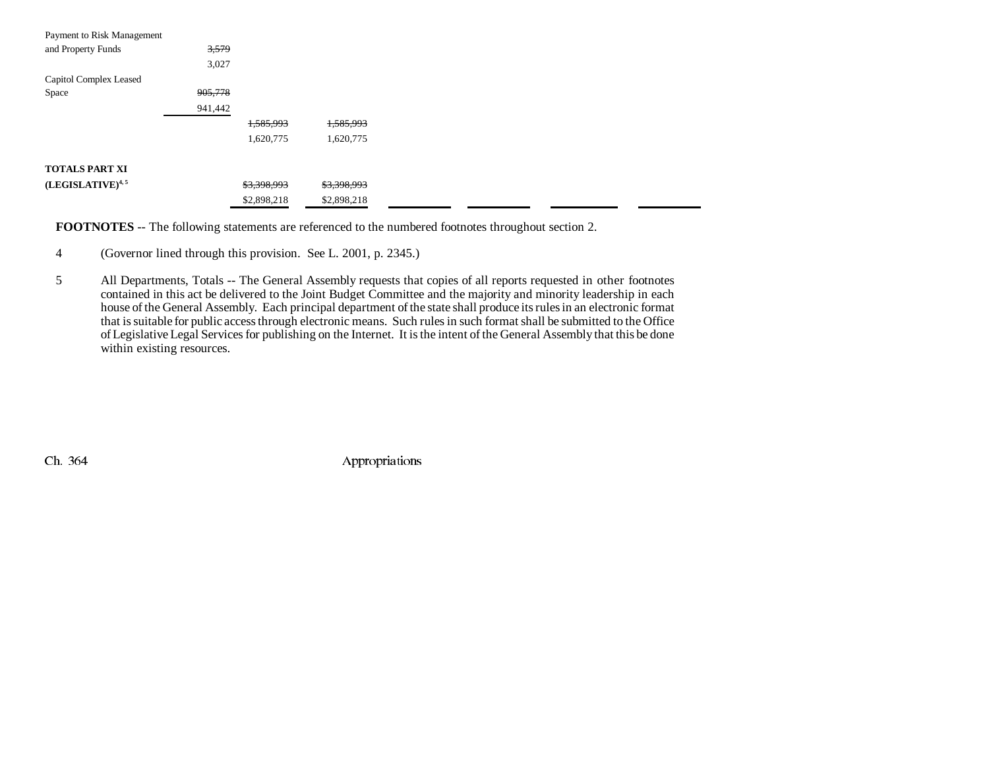| Payment to Risk Management   |         |             |             |  |
|------------------------------|---------|-------------|-------------|--|
| and Property Funds           | 3,579   |             |             |  |
|                              | 3,027   |             |             |  |
| Capitol Complex Leased       |         |             |             |  |
| Space                        | 905,778 |             |             |  |
|                              | 941,442 |             |             |  |
|                              |         | 1,585,993   | 1,585,993   |  |
|                              |         | 1,620,775   | 1,620,775   |  |
| <b>TOTALS PART XI</b>        |         |             |             |  |
|                              |         |             |             |  |
| (LEGISLATIVE) <sup>4,5</sup> |         | \$3,398,993 | \$3,398,993 |  |
|                              |         | \$2,898,218 | \$2,898,218 |  |

**FOOTNOTES** -- The following statements are referenced to the numbered footnotes throughout section 2.

- 4 (Governor lined through this provision. See L. 2001, p. 2345.)
- 5 All Departments, Totals -- The General Assembly requests that copies of all reports requested in other footnotes contained in this act be delivered to the Joint Budget Committee and the majority and minority leadership in each house of the General Assembly. Each principal department of the state shall produce its rules in an electronic format that is suitable for public access through electronic means. Such rules in such format shall be submitted to the Office of Legislative Legal Services for publishing on the Internet. It is the intent of the General Assembly that this be done within existing resources.

Ch. 364 Appropriations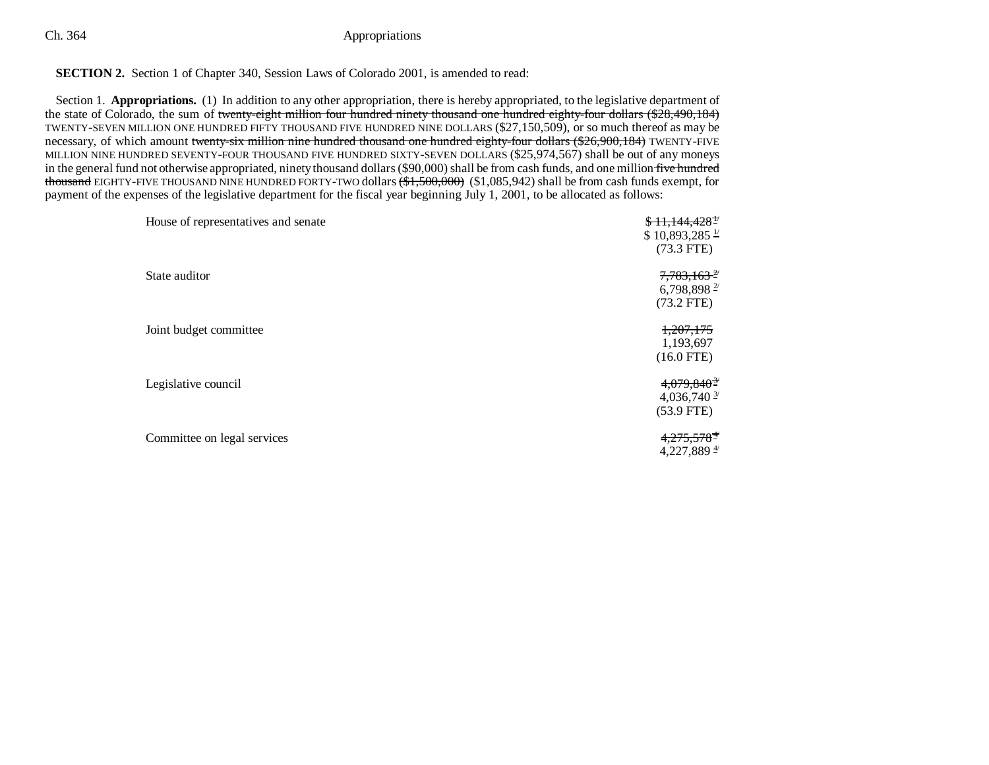### Ch. 364 Appropriations

### **SECTION 2.** Section 1 of Chapter 340, Session Laws of Colorado 2001, is amended to read:

Section 1. **Appropriations.** (1) In addition to any other appropriation, there is hereby appropriated, to the legislative department of the state of Colorado, the sum of twenty-eight million four hundred ninety thousand one hundred eighty-four dollars (\$28,490,184) TWENTY-SEVEN MILLION ONE HUNDRED FIFTY THOUSAND FIVE HUNDRED NINE DOLLARS (\$27,150,509), or so much thereof as may be necessary, of which amount twenty-six million nine hundred thousand one hundred eighty-four dollars (\$26,900,184) TWENTY-FIVE MILLION NINE HUNDRED SEVENTY-FOUR THOUSAND FIVE HUNDRED SIXTY-SEVEN DOLLARS (\$25,974,567) shall be out of any moneys in the general fund not otherwise appropriated, ninety thousand dollars (\$90,000) shall be from cash funds, and one million five hundred t<del>housand</del> EIGHTY-FIVE THOUSAND NINE HUNDRED FORTY-TWO dollars <del>(\$1,500,000)</del> (\$1,085,942) shall be from cash funds exempt, for payment of the expenses of the legislative department for the fiscal year beginning July 1, 2001, to be allocated as follows:

| House of representatives and senate | $$11,144,428$ <sup>+/</sup><br>$$10,893,285 \frac{1}{1}$<br>$(73.3$ FTE) |
|-------------------------------------|--------------------------------------------------------------------------|
| State auditor                       | $7,783,163$ <sup>2/</sup><br>6,798,898 $^{27}$<br>$(73.2$ FTE)           |
| Joint budget committee              | <del>1,207,175</del><br>1,193,697<br>$(16.0$ FTE)                        |
| Legislative council                 | $4,079,840$ <sup>3/</sup><br>4,036,740 $\frac{3}{2}$<br>$(53.9$ FTE)     |
| Committee on legal services         | $4,275,578$ <sup>#</sup><br>4,227,889 $\frac{4}{7}$                      |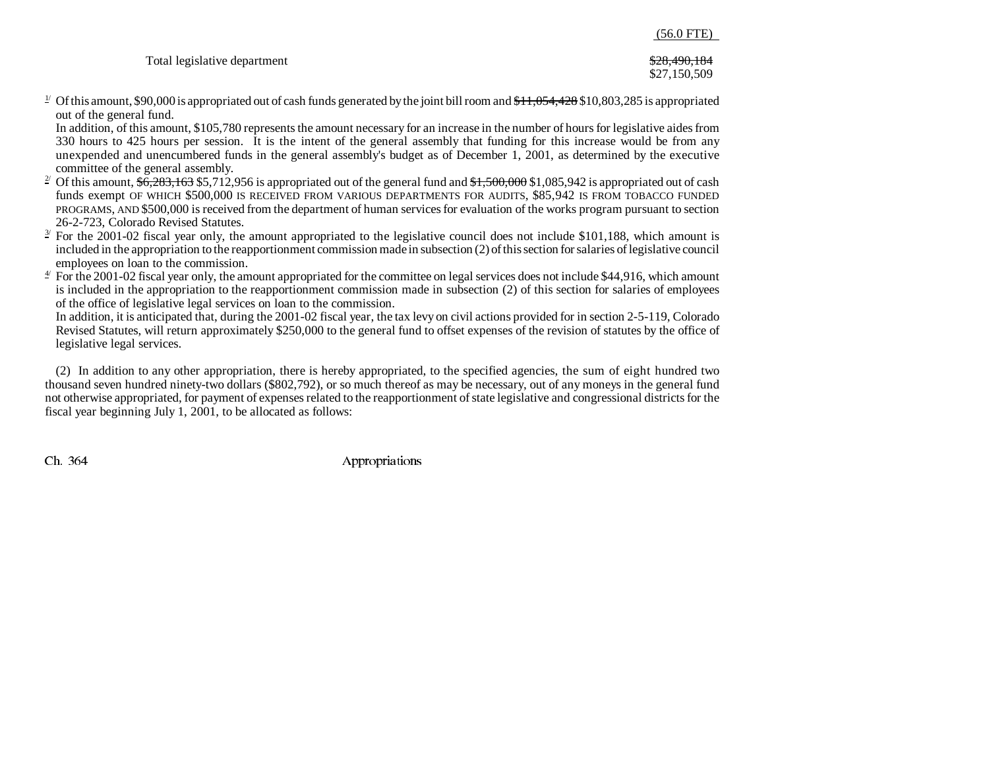|                              | $(56.0 \text{ FTE})$         |
|------------------------------|------------------------------|
| Total legislative department | \$28,490,184<br>\$27,150,509 |

 $\frac{1}{2}$  Of this amount, \$90,000 is appropriated out of cash funds generated by the joint bill room and  $\frac{1}{3}11,054,428$  \$10,803,285 is appropriated out of the general fund.

In addition, of this amount, \$105,780 represents the amount necessary for an increase in the number of hours for legislative aides from 330 hours to 425 hours per session. It is the intent of the general assembly that funding for this increase would be from any unexpended and unencumbered funds in the general assembly's budget as of December 1, 2001, as determined by the executive committee of the general assembly.

- <sup>2</sup> Of this amount,  $$6,283,163$  \$5,712,956 is appropriated out of the general fund and  $$1,500,000$  \$1,085,942 is appropriated out of cash funds exempt OF WHICH \$500,000 IS RECEIVED FROM VARIOUS DEPARTMENTS FOR AUDITS, \$85,942 IS FROM TOBACCO FUNDED PROGRAMS, AND \$500,000 is received from the department of human services for evaluation of the works program pursuant to section 26-2-723, Colorado Revised Statutes.
- $\frac{3}{2}$  For the 2001-02 fiscal year only, the amount appropriated to the legislative council does not include \$101,188, which amount is included in the appropriation to the reapportionment commission made in subsection (2) of this section for salaries of legislative council employees on loan to the commission.
- $4^{\prime}$  For the 2001-02 fiscal year only, the amount appropriated for the committee on legal services does not include \$44,916, which amount is included in the appropriation to the reapportionment commission made in subsection (2) of this section for salaries of employees of the office of legislative legal services on loan to the commission.

In addition, it is anticipated that, during the 2001-02 fiscal year, the tax levy on civil actions provided for in section 2-5-119, Colorado Revised Statutes, will return approximately \$250,000 to the general fund to offset expenses of the revision of statutes by the office of legislative legal services.

(2) In addition to any other appropriation, there is hereby appropriated, to the specified agencies, the sum of eight hundred two thousand seven hundred ninety-two dollars (\$802,792), or so much thereof as may be necessary, out of any moneys in the general fund not otherwise appropriated, for payment of expenses related to the reapportionment of state legislative and congressional districts for the fiscal year beginning July 1, 2001, to be allocated as follows:

Ch. 364 Appropriations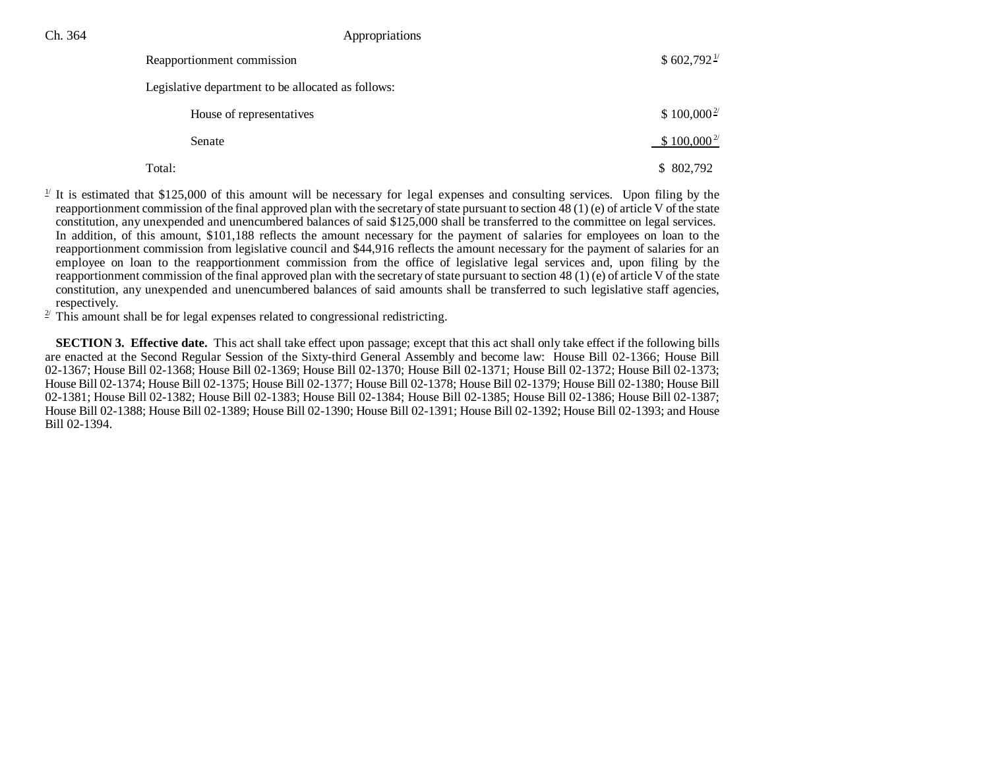Ch. 364 Appropriations

| Reapportionment commission                         | $$602,792\frac{1}{2}$ |
|----------------------------------------------------|-----------------------|
| Legislative department to be allocated as follows: |                       |
| House of representatives                           | $$100,000^2$          |
| Senate                                             | $$100,000^2$          |
| Total:                                             | \$802,792             |

 $\frac{1}{2}$  It is estimated that \$125,000 of this amount will be necessary for legal expenses and consulting services. Upon filing by the reapportionment commission of the final approved plan with the secretary of state pursuant to section 48 (1) (e) of article V of the state constitution, any unexpended and unencumbered balances of said \$125,000 shall be transferred to the committee on legal services. In addition, of this amount, \$101,188 reflects the amount necessary for the payment of salaries for employees on loan to the reapportionment commission from legislative council and \$44,916 reflects the amount necessary for the payment of salaries for an employee on loan to the reapportionment commission from the office of legislative legal services and, upon filing by the reapportionment commission of the final approved plan with the secretary of state pursuant to section 48 (1) (e) of article V of the state constitution, any unexpended and unencumbered balances of said amounts shall be transferred to such legislative staff agencies, respectively.

 $2<sup>2</sup>$  This amount shall be for legal expenses related to congressional redistricting.

**SECTION 3. Effective date.** This act shall take effect upon passage; except that this act shall only take effect if the following bills are enacted at the Second Regular Session of the Sixty-third General Assembly and become law: House Bill 02-1366; House Bill 02-1367; House Bill 02-1368; House Bill 02-1369; House Bill 02-1370; House Bill 02-1371; House Bill 02-1372; House Bill 02-1373; House Bill 02-1374; House Bill 02-1375; House Bill 02-1377; House Bill 02-1378; House Bill 02-1379; House Bill 02-1380; House Bill 02-1381; House Bill 02-1382; House Bill 02-1383; House Bill 02-1384; House Bill 02-1385; House Bill 02-1386; House Bill 02-1387; House Bill 02-1388; House Bill 02-1389; House Bill 02-1390; House Bill 02-1391; House Bill 02-1392; House Bill 02-1393; and House Bill 02-1394.